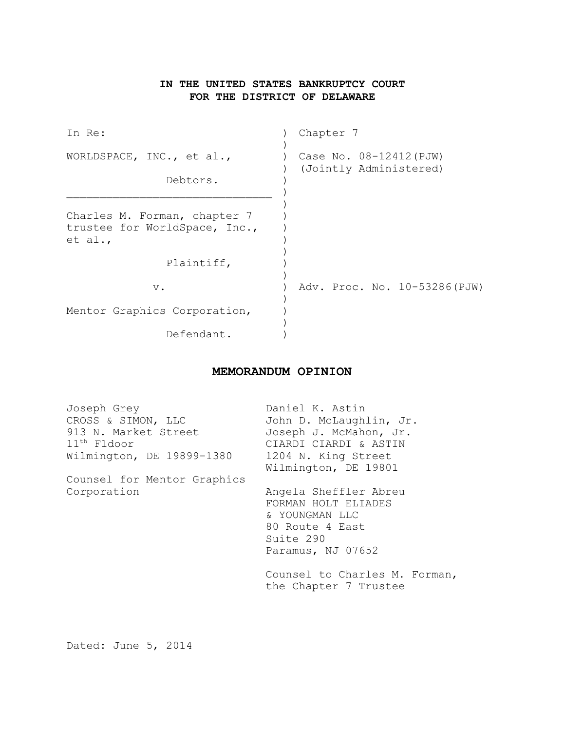# **IN THE UNITED STATES BANKRUPTCY COURT FOR THE DISTRICT OF DELAWARE**

| In Re:                                                                   | Chapter 7                                         |
|--------------------------------------------------------------------------|---------------------------------------------------|
| WORLDSPACE, INC., et al.,<br>Debtors.                                    | Case No. 08-12412 (PJW)<br>(Jointly Administered) |
| Charles M. Forman, chapter 7<br>trustee for WorldSpace, Inc.,<br>et al., |                                                   |
| Plaintiff,                                                               |                                                   |
| $V$ .                                                                    | Adv. Proc. No. 10-53286 (PJW)                     |
| Mentor Graphics Corporation,                                             |                                                   |
| Defendant.                                                               |                                                   |

# **MEMORANDUM OPINION**

| Joseph Grey                 | Daniel K. Astin                                        |
|-----------------------------|--------------------------------------------------------|
| CROSS & SIMON, LLC          | John D. McLaughlin, Jr.                                |
| 913 N. Market Street        | Joseph J. McMahon, Jr.                                 |
| $11th$ Fldoor               | CIARDI CIARDI & ASTIN                                  |
| Wilmington, DE 19899-1380   | 1204 N. King Street                                    |
|                             | Wilmington, DE 19801                                   |
| Counsel for Mentor Graphics |                                                        |
| Corporation                 | Angela Sheffler Abreu                                  |
|                             | FORMAN HOLT ELIADES                                    |
|                             | & YOUNGMAN LLC                                         |
|                             | 80 Route 4 East                                        |
|                             | Suite 290                                              |
|                             | Paramus, NJ 07652                                      |
|                             | Counsel to Charles M. Forman,<br>the Chapter 7 Trustee |
|                             |                                                        |

Dated: June 5, 2014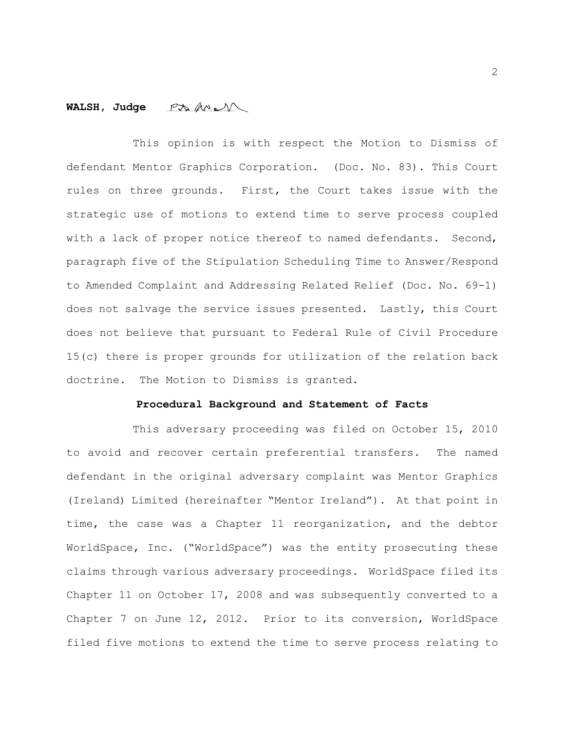## **WALSH, Judge**

This opinion is with respect the Motion to Dismiss of defendant Mentor Graphics Corporation. (Doc. No. 83). This Court rules on three grounds. First, the Court takes issue with the strategic use of motions to extend time to serve process coupled with a lack of proper notice thereof to named defendants. Second, paragraph five of the Stipulation Scheduling Time to Answer/Respond to Amended Complaint and Addressing Related Relief (Doc. No. 69-1) does not salvage the service issues presented. Lastly, this Court does not believe that pursuant to Federal Rule of Civil Procedure 15(c) there is proper grounds for utilization of the relation back doctrine. The Motion to Dismiss is granted.

#### **Procedural Background and Statement of Facts**

This adversary proceeding was filed on October 15, 2010 to avoid and recover certain preferential transfers. The named defendant in the original adversary complaint was Mentor Graphics (Ireland) Limited (hereinafter "Mentor Ireland"). At that point in time, the case was a Chapter 11 reorganization, and the debtor WorldSpace, Inc. ("WorldSpace") was the entity prosecuting these claims through various adversary proceedings. WorldSpace filed its Chapter 11 on October 17, 2008 and was subsequently converted to a Chapter 7 on June 12, 2012. Prior to its conversion, WorldSpace filed five motions to extend the time to serve process relating to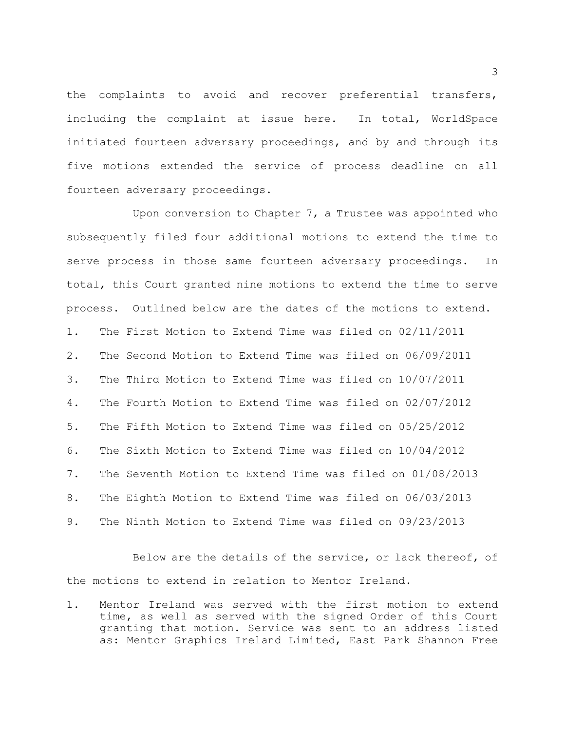the complaints to avoid and recover preferential transfers, including the complaint at issue here. In total, WorldSpace initiated fourteen adversary proceedings, and by and through its five motions extended the service of process deadline on all fourteen adversary proceedings.

Upon conversion to Chapter 7, a Trustee was appointed who subsequently filed four additional motions to extend the time to serve process in those same fourteen adversary proceedings. In total, this Court granted nine motions to extend the time to serve process. Outlined below are the dates of the motions to extend. 1. The First Motion to Extend Time was filed on 02/11/2011 2. The Second Motion to Extend Time was filed on 06/09/2011 3. The Third Motion to Extend Time was filed on 10/07/2011 4. The Fourth Motion to Extend Time was filed on 02/07/2012 5. The Fifth Motion to Extend Time was filed on 05/25/2012 6. The Sixth Motion to Extend Time was filed on 10/04/2012 7. The Seventh Motion to Extend Time was filed on 01/08/2013 8. The Eighth Motion to Extend Time was filed on 06/03/2013 9. The Ninth Motion to Extend Time was filed on 09/23/2013

Below are the details of the service, or lack thereof, of the motions to extend in relation to Mentor Ireland.

1. Mentor Ireland was served with the first motion to extend time, as well as served with the signed Order of this Court granting that motion. Service was sent to an address listed as: Mentor Graphics Ireland Limited, East Park Shannon Free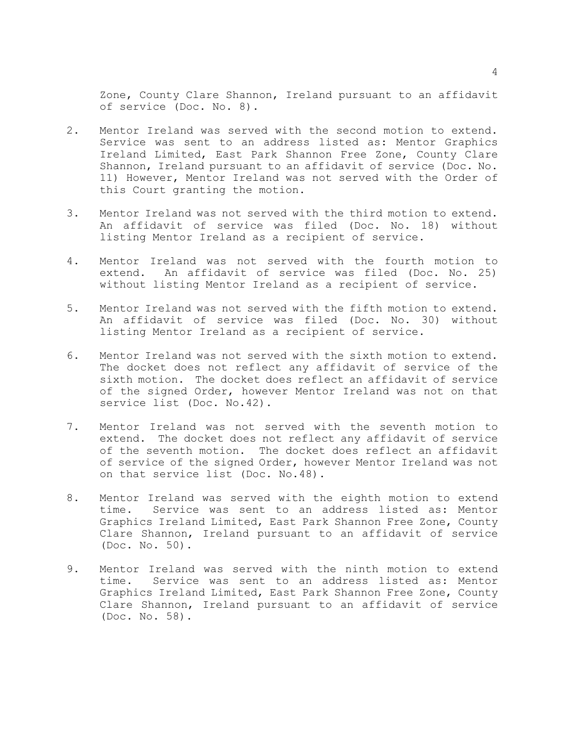Zone, County Clare Shannon, Ireland pursuant to an affidavit of service (Doc. No. 8).

- 2. Mentor Ireland was served with the second motion to extend. Service was sent to an address listed as: Mentor Graphics Ireland Limited, East Park Shannon Free Zone, County Clare Shannon, Ireland pursuant to an affidavit of service (Doc. No. 11) However, Mentor Ireland was not served with the Order of this Court granting the motion.
- 3. Mentor Ireland was not served with the third motion to extend. An affidavit of service was filed (Doc. No. 18) without listing Mentor Ireland as a recipient of service.
- 4. Mentor Ireland was not served with the fourth motion to extend. An affidavit of service was filed (Doc. No. 25) without listing Mentor Ireland as a recipient of service.
- 5. Mentor Ireland was not served with the fifth motion to extend. An affidavit of service was filed (Doc. No. 30) without listing Mentor Ireland as a recipient of service.
- 6. Mentor Ireland was not served with the sixth motion to extend. The docket does not reflect any affidavit of service of the sixth motion. The docket does reflect an affidavit of service of the signed Order, however Mentor Ireland was not on that service list (Doc. No.42).
- 7. Mentor Ireland was not served with the seventh motion to extend. The docket does not reflect any affidavit of service of the seventh motion. The docket does reflect an affidavit of service of the signed Order, however Mentor Ireland was not on that service list (Doc. No.48).
- 8. Mentor Ireland was served with the eighth motion to extend time. Service was sent to an address listed as: Mentor Graphics Ireland Limited, East Park Shannon Free Zone, County Clare Shannon, Ireland pursuant to an affidavit of service (Doc. No. 50).
- 9. Mentor Ireland was served with the ninth motion to extend time. Service was sent to an address listed as: Mentor Graphics Ireland Limited, East Park Shannon Free Zone, County Clare Shannon, Ireland pursuant to an affidavit of service (Doc. No. 58).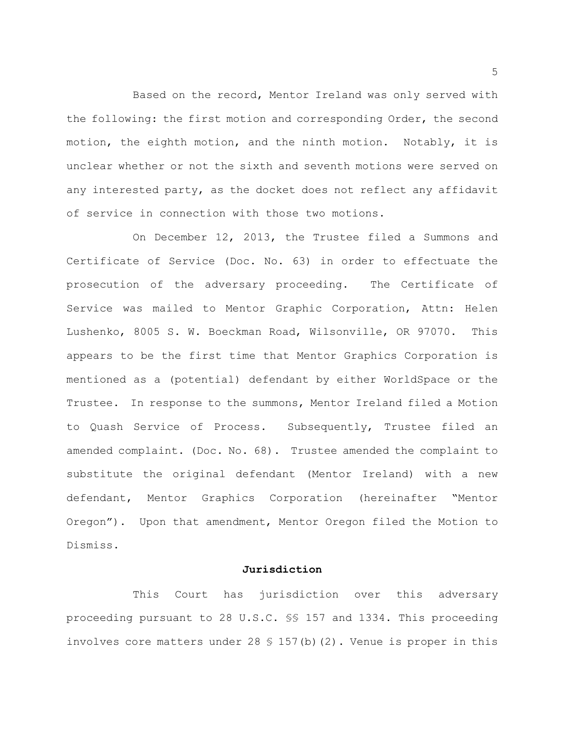Based on the record, Mentor Ireland was only served with the following: the first motion and corresponding Order, the second motion, the eighth motion, and the ninth motion. Notably, it is unclear whether or not the sixth and seventh motions were served on any interested party, as the docket does not reflect any affidavit of service in connection with those two motions.

On December 12, 2013, the Trustee filed a Summons and Certificate of Service (Doc. No. 63) in order to effectuate the prosecution of the adversary proceeding. The Certificate of Service was mailed to Mentor Graphic Corporation, Attn: Helen Lushenko, 8005 S. W. Boeckman Road, Wilsonville, OR 97070. This appears to be the first time that Mentor Graphics Corporation is mentioned as a (potential) defendant by either WorldSpace or the Trustee. In response to the summons, Mentor Ireland filed a Motion to Quash Service of Process. Subsequently, Trustee filed an amended complaint. (Doc. No. 68). Trustee amended the complaint to substitute the original defendant (Mentor Ireland) with a new defendant, Mentor Graphics Corporation (hereinafter "Mentor Oregon"). Upon that amendment, Mentor Oregon filed the Motion to Dismiss.

### **Jurisdiction**

This Court has jurisdiction over this adversary proceeding pursuant to 28 U.S.C. §§ 157 and 1334. This proceeding involves core matters under 28  $\frac{1}{5}$  157(b)(2). Venue is proper in this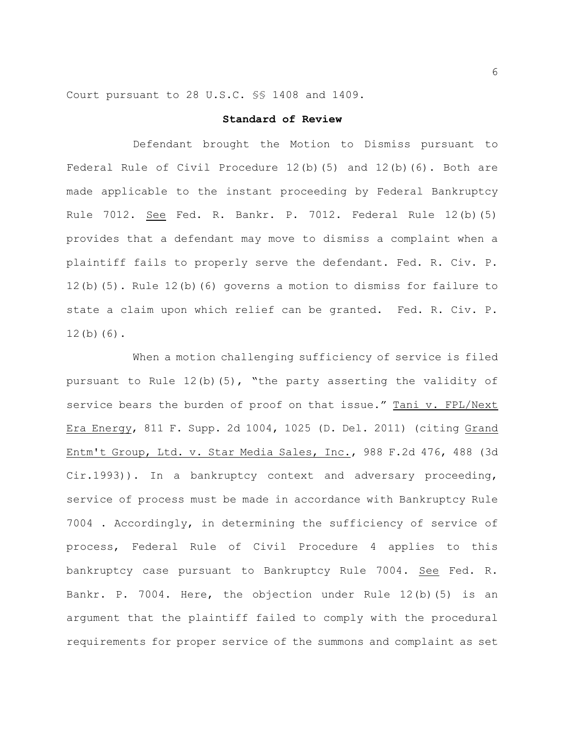Court pursuant to 28 U.S.C. §§ 1408 and 1409.

### **Standard of Review**

Defendant brought the Motion to Dismiss pursuant to Federal Rule of Civil Procedure 12(b)(5) and 12(b)(6). Both are made applicable to the instant proceeding by Federal Bankruptcy Rule 7012. See Fed. R. Bankr. P. 7012. Federal Rule 12(b)(5) provides that a defendant may move to dismiss a complaint when a plaintiff fails to properly serve the defendant. Fed. R. Civ. P. 12(b)(5). Rule 12(b)(6) governs a motion to dismiss for failure to state a claim upon which relief can be granted. Fed. R. Civ. P.  $12(b)(6)$ .

When a motion challenging sufficiency of service is filed pursuant to Rule 12(b)(5), "the party asserting the validity of service bears the burden of proof on that issue." Tani v. FPL/Next Era Energy, 811 F. Supp. 2d 1004, 1025 (D. Del. 2011) (citing Grand Entm't Group, Ltd. v. Star Media Sales, Inc., 988 F.2d 476, 488 (3d Cir.1993)). In a bankruptcy context and adversary proceeding, service of process must be made in accordance with Bankruptcy Rule 7004 . Accordingly, in determining the sufficiency of service of process, Federal Rule of Civil Procedure 4 applies to this bankruptcy case pursuant to Bankruptcy Rule 7004. See Fed. R. Bankr. P. 7004. Here, the objection under Rule 12(b)(5) is an argument that the plaintiff failed to comply with the procedural requirements for proper service of the summons and complaint as set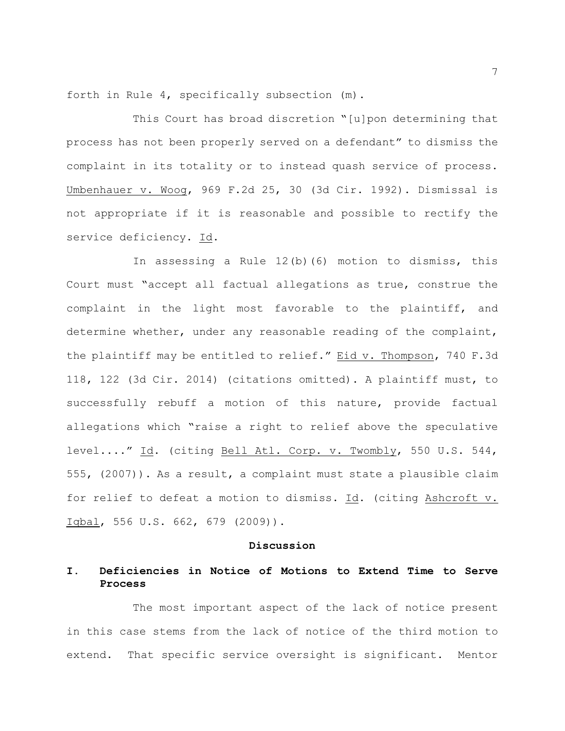forth in Rule 4, specifically subsection (m).

This Court has broad discretion "[u]pon determining that process has not been properly served on a defendant" to dismiss the complaint in its totality or to instead quash service of process. Umbenhauer v. Woog, 969 F.2d 25, 30 (3d Cir. 1992). Dismissal is not appropriate if it is reasonable and possible to rectify the service deficiency. Id.

In assessing a Rule 12(b)(6) motion to dismiss, this Court must "accept all factual allegations as true, construe the complaint in the light most favorable to the plaintiff, and determine whether, under any reasonable reading of the complaint, the plaintiff may be entitled to relief." Eid v. Thompson, 740 F.3d 118, 122 (3d Cir. 2014) (citations omitted). A plaintiff must, to successfully rebuff a motion of this nature, provide factual allegations which "raise a right to relief above the speculative level...." Id. (citing Bell Atl. Corp. v. Twombly, 550 U.S. 544, 555, (2007)). As a result, a complaint must state a plausible claim for relief to defeat a motion to dismiss. Id. (citing Ashcroft v. Iqbal, 556 U.S. 662, 679 (2009)).

#### **Discussion**

## **I. Deficiencies in Notice of Motions to Extend Time to Serve Process**

The most important aspect of the lack of notice present in this case stems from the lack of notice of the third motion to extend. That specific service oversight is significant. Mentor

7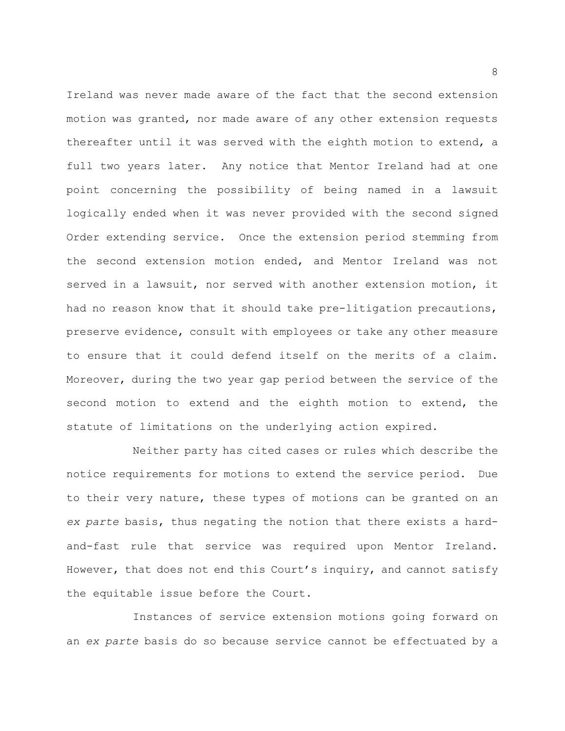Ireland was never made aware of the fact that the second extension motion was granted, nor made aware of any other extension requests thereafter until it was served with the eighth motion to extend, a full two years later. Any notice that Mentor Ireland had at one point concerning the possibility of being named in a lawsuit logically ended when it was never provided with the second signed Order extending service. Once the extension period stemming from the second extension motion ended, and Mentor Ireland was not served in a lawsuit, nor served with another extension motion, it had no reason know that it should take pre-litigation precautions, preserve evidence, consult with employees or take any other measure to ensure that it could defend itself on the merits of a claim. Moreover, during the two year gap period between the service of the second motion to extend and the eighth motion to extend, the statute of limitations on the underlying action expired.

Neither party has cited cases or rules which describe the notice requirements for motions to extend the service period. Due to their very nature, these types of motions can be granted on an *ex parte* basis, thus negating the notion that there exists a hardand-fast rule that service was required upon Mentor Ireland. However, that does not end this Court's inquiry, and cannot satisfy the equitable issue before the Court.

Instances of service extension motions going forward on an *ex parte* basis do so because service cannot be effectuated by a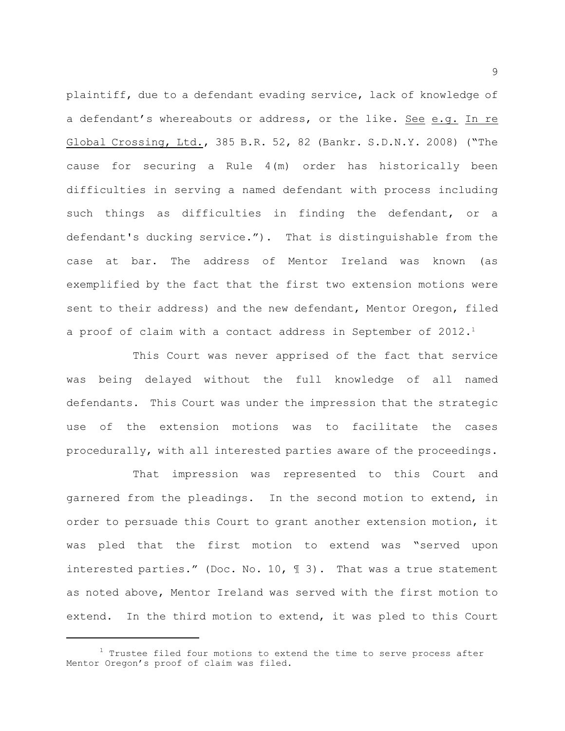plaintiff, due to a defendant evading service, lack of knowledge of a defendant's whereabouts or address, or the like. See e.g. In re Global Crossing, Ltd., 385 B.R. 52, 82 (Bankr. S.D.N.Y. 2008) ("The cause for securing a Rule 4(m) order has historically been difficulties in serving a named defendant with process including such things as difficulties in finding the defendant, or a defendant's ducking service."). That is distinguishable from the case at bar. The address of Mentor Ireland was known (as exemplified by the fact that the first two extension motions were sent to their address) and the new defendant, Mentor Oregon, filed a proof of claim with a contact address in September of  $2012.^1$ 

This Court was never apprised of the fact that service was being delayed without the full knowledge of all named defendants. This Court was under the impression that the strategic use of the extension motions was to facilitate the cases procedurally, with all interested parties aware of the proceedings.

That impression was represented to this Court and garnered from the pleadings. In the second motion to extend, in order to persuade this Court to grant another extension motion, it was pled that the first motion to extend was "served upon interested parties." (Doc. No. 10, ¶ 3). That was a true statement as noted above, Mentor Ireland was served with the first motion to extend. In the third motion to extend, it was pled to this Court

 $1$  Trustee filed four motions to extend the time to serve process after Mentor Oregon's proof of claim was filed.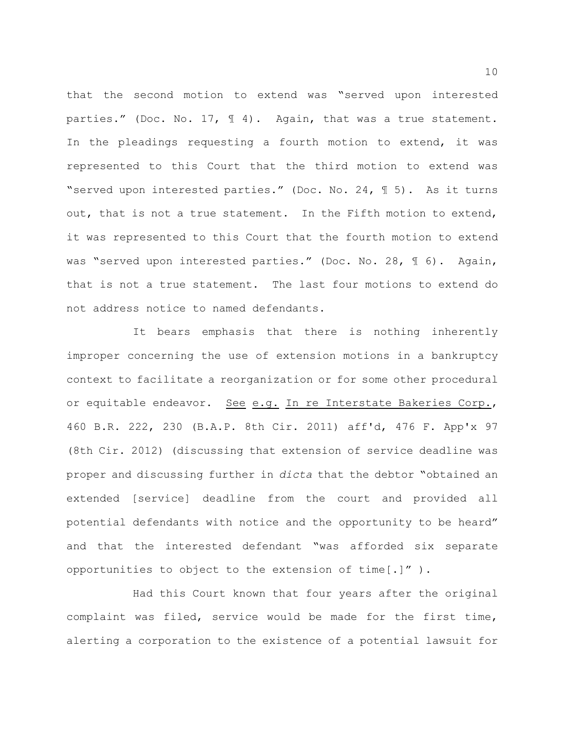that the second motion to extend was "served upon interested parties." (Doc. No. 17,  $\mathbb{I}$  4). Again, that was a true statement. In the pleadings requesting a fourth motion to extend, it was represented to this Court that the third motion to extend was "served upon interested parties." (Doc. No. 24, ¶ 5). As it turns out, that is not a true statement. In the Fifth motion to extend, it was represented to this Court that the fourth motion to extend was "served upon interested parties." (Doc. No. 28, 16). Again, that is not a true statement. The last four motions to extend do not address notice to named defendants.

It bears emphasis that there is nothing inherently improper concerning the use of extension motions in a bankruptcy context to facilitate a reorganization or for some other procedural or equitable endeavor. See e.g. In re Interstate Bakeries Corp., 460 B.R. 222, 230 (B.A.P. 8th Cir. 2011) aff'd, 476 F. App'x 97 (8th Cir. 2012) (discussing that extension of service deadline was proper and discussing further in *dicta* that the debtor "obtained an extended [service] deadline from the court and provided all potential defendants with notice and the opportunity to be heard" and that the interested defendant "was afforded six separate opportunities to object to the extension of time[.]" ).

Had this Court known that four years after the original complaint was filed, service would be made for the first time, alerting a corporation to the existence of a potential lawsuit for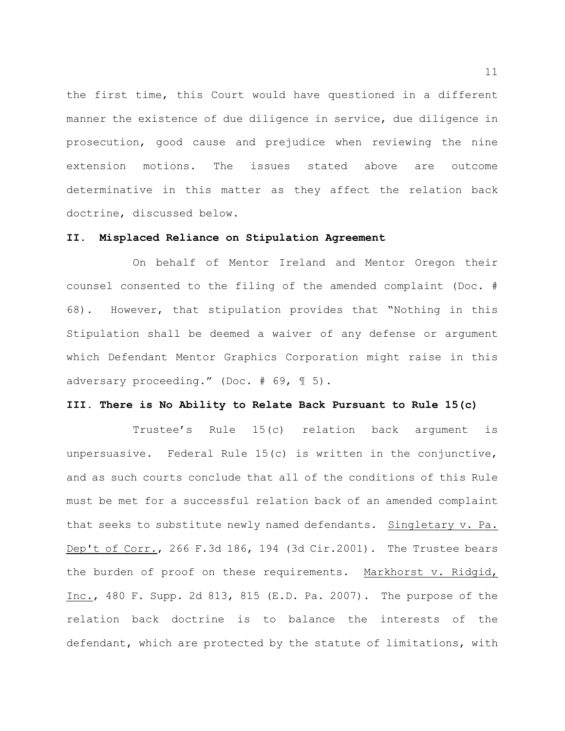the first time, this Court would have questioned in a different manner the existence of due diligence in service, due diligence in prosecution, good cause and prejudice when reviewing the nine extension motions. The issues stated above are outcome determinative in this matter as they affect the relation back doctrine, discussed below.

#### **II. Misplaced Reliance on Stipulation Agreement**

On behalf of Mentor Ireland and Mentor Oregon their counsel consented to the filing of the amended complaint (Doc. # 68). However, that stipulation provides that "Nothing in this Stipulation shall be deemed a waiver of any defense or argument which Defendant Mentor Graphics Corporation might raise in this adversary proceeding." (Doc. # 69, ¶ 5).

### **III. There is No Ability to Relate Back Pursuant to Rule 15(c)**

Trustee's Rule 15(c) relation back argument is unpersuasive. Federal Rule 15(c) is written in the conjunctive, and as such courts conclude that all of the conditions of this Rule must be met for a successful relation back of an amended complaint that seeks to substitute newly named defendants. Singletary v. Pa. Dep't of Corr., 266 F.3d 186, 194 (3d Cir.2001). The Trustee bears the burden of proof on these requirements. Markhorst v. Ridgid, Inc., 480 F. Supp. 2d 813, 815 (E.D. Pa. 2007). The purpose of the relation back doctrine is to balance the interests of the defendant, which are protected by the statute of limitations, with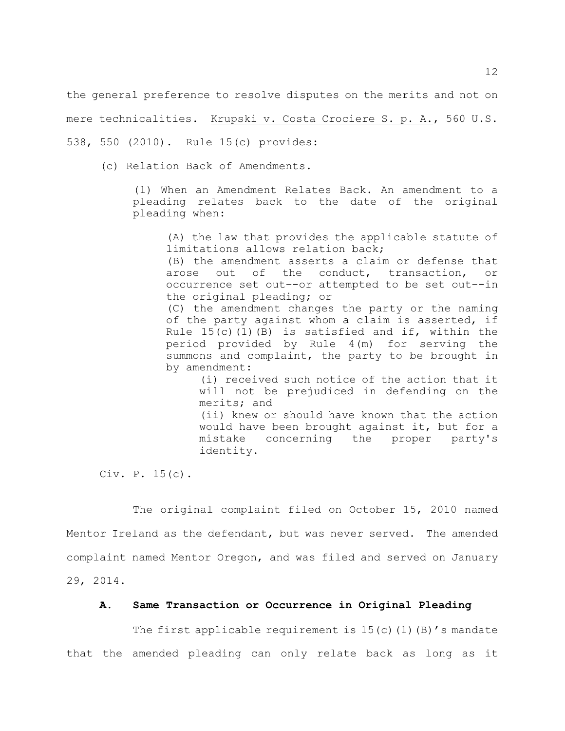the general preference to resolve disputes on the merits and not on mere technicalities. Krupski v. Costa Crociere S. p. A., 560 U.S. 538, 550 (2010). Rule 15(c) provides:

(c) Relation Back of Amendments.

(1) When an Amendment Relates Back. An amendment to a pleading relates back to the date of the original pleading when:

(A) the law that provides the applicable statute of limitations allows relation back;

(B) the amendment asserts a claim or defense that arose out of the conduct, transaction, or occurrence set out–-or attempted to be set out–-in the original pleading; or

(C) the amendment changes the party or the naming of the party against whom a claim is asserted, if Rule  $15(c)$  (1)(B) is satisfied and if, within the period provided by Rule 4(m) for serving the summons and complaint, the party to be brought in by amendment:

(i) received such notice of the action that it will not be prejudiced in defending on the merits; and (ii) knew or should have known that the action would have been brought against it, but for a mistake concerning the proper party's

Civ. P. 15(c).

The original complaint filed on October 15, 2010 named Mentor Ireland as the defendant, but was never served. The amended complaint named Mentor Oregon, and was filed and served on January 29, 2014.

identity.

## **A. Same Transaction or Occurrence in Original Pleading**

The first applicable requirement is  $15(c)(1)(B)'$ s mandate that the amended pleading can only relate back as long as it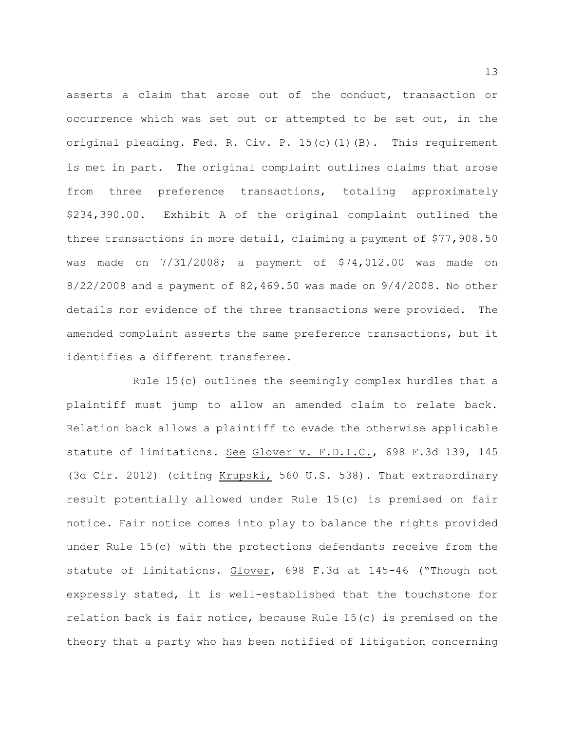asserts a claim that arose out of the conduct, transaction or occurrence which was set out or attempted to be set out, in the original pleading. Fed. R. Civ. P. 15(c)(1)(B). This requirement is met in part. The original complaint outlines claims that arose from three preference transactions, totaling approximately \$234,390.00. Exhibit A of the original complaint outlined the three transactions in more detail, claiming a payment of \$77,908.50 was made on 7/31/2008; a payment of \$74,012.00 was made on 8/22/2008 and a payment of 82,469.50 was made on 9/4/2008. No other details nor evidence of the three transactions were provided. The amended complaint asserts the same preference transactions, but it identifies a different transferee.

Rule 15(c) outlines the seemingly complex hurdles that a plaintiff must jump to allow an amended claim to relate back. Relation back allows a plaintiff to evade the otherwise applicable statute of limitations. See Glover v. F.D.I.C., 698 F.3d 139, 145 (3d Cir. 2012) (citing Krupski, 560 U.S. 538). That extraordinary result potentially allowed under Rule 15(c) is premised on fair notice. Fair notice comes into play to balance the rights provided under Rule 15(c) with the protections defendants receive from the statute of limitations. Glover, 698 F.3d at 145-46 ("Though not expressly stated, it is well-established that the touchstone for relation back is fair notice, because Rule 15(c) is premised on the theory that a party who has been notified of litigation concerning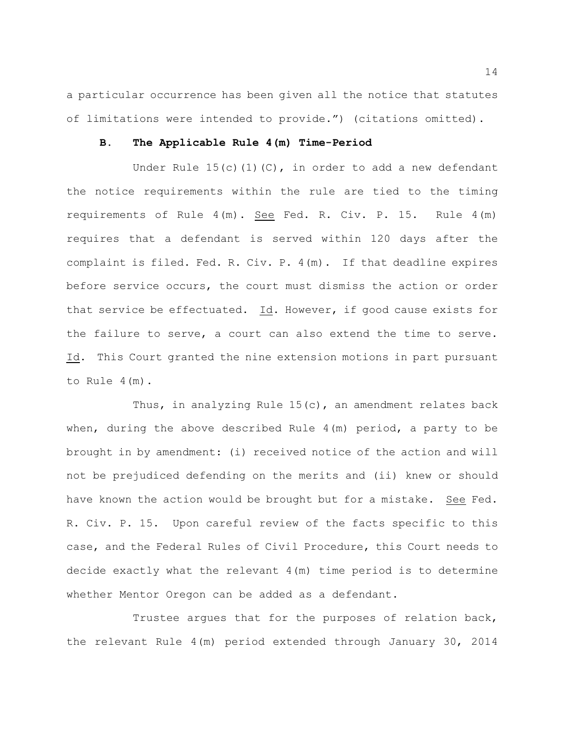a particular occurrence has been given all the notice that statutes of limitations were intended to provide.") (citations omitted).

### **B. The Applicable Rule 4(m) Time-Period**

Under Rule  $15(c)(1)(C)$ , in order to add a new defendant the notice requirements within the rule are tied to the timing requirements of Rule 4(m). See Fed. R. Civ. P. 15. Rule 4(m) requires that a defendant is served within 120 days after the complaint is filed. Fed. R. Civ. P. 4(m). If that deadline expires before service occurs, the court must dismiss the action or order that service be effectuated. Id. However, if good cause exists for the failure to serve, a court can also extend the time to serve. Id. This Court granted the nine extension motions in part pursuant to Rule 4(m).

Thus, in analyzing Rule  $15(c)$ , an amendment relates back when, during the above described Rule 4(m) period, a party to be brought in by amendment: (i) received notice of the action and will not be prejudiced defending on the merits and (ii) knew or should have known the action would be brought but for a mistake. See Fed. R. Civ. P. 15. Upon careful review of the facts specific to this case, and the Federal Rules of Civil Procedure, this Court needs to decide exactly what the relevant 4(m) time period is to determine whether Mentor Oregon can be added as a defendant.

Trustee argues that for the purposes of relation back, the relevant Rule 4(m) period extended through January 30, 2014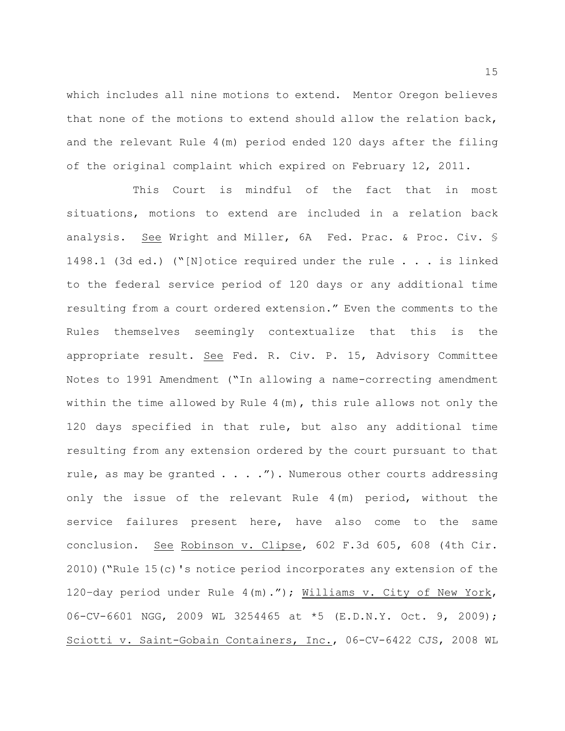which includes all nine motions to extend. Mentor Oregon believes that none of the motions to extend should allow the relation back, and the relevant Rule 4(m) period ended 120 days after the filing of the original complaint which expired on February 12, 2011.

This Court is mindful of the fact that in most situations, motions to extend are included in a relation back analysis. See Wright and Miller, 6A Fed. Prac. & Proc. Civ. § 1498.1 (3d ed.) ("[N]otice required under the rule . . . is linked to the federal service period of 120 days or any additional time resulting from a court ordered extension." Even the comments to the Rules themselves seemingly contextualize that this is the appropriate result. See Fed. R. Civ. P. 15, Advisory Committee Notes to 1991 Amendment ("In allowing a name-correcting amendment within the time allowed by Rule  $4(m)$ , this rule allows not only the 120 days specified in that rule, but also any additional time resulting from any extension ordered by the court pursuant to that rule, as may be granted  $\ldots$  ... ."). Numerous other courts addressing only the issue of the relevant Rule 4(m) period, without the service failures present here, have also come to the same conclusion. See Robinson v. Clipse, 602 F.3d 605, 608 (4th Cir. 2010)("Rule 15(c)'s notice period incorporates any extension of the 120–day period under Rule 4(m)."); Williams v. City of New York, 06-CV-6601 NGG, 2009 WL 3254465 at \*5 (E.D.N.Y. Oct. 9, 2009); Sciotti v. Saint-Gobain Containers, Inc., 06-CV-6422 CJS, 2008 WL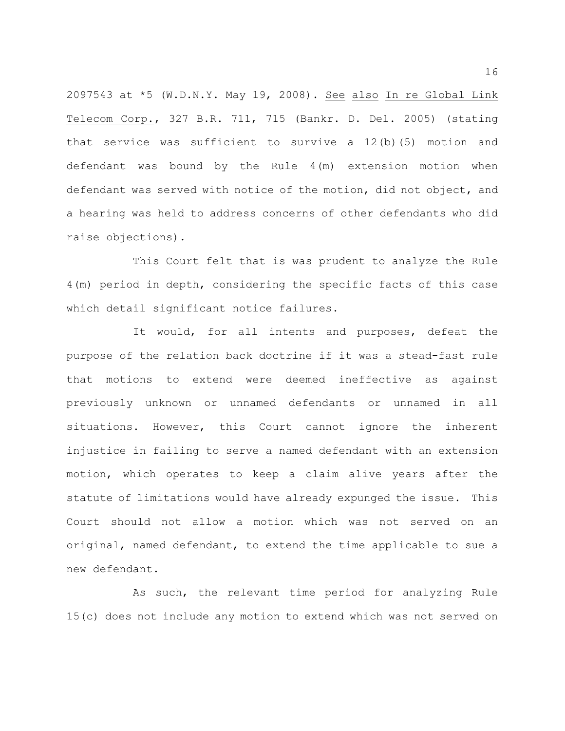2097543 at \*5 (W.D.N.Y. May 19, 2008). See also In re Global Link Telecom Corp., 327 B.R. 711, 715 (Bankr. D. Del. 2005) (stating that service was sufficient to survive a 12(b)(5) motion and defendant was bound by the Rule 4(m) extension motion when defendant was served with notice of the motion, did not object, and a hearing was held to address concerns of other defendants who did raise objections).

This Court felt that is was prudent to analyze the Rule 4(m) period in depth, considering the specific facts of this case which detail significant notice failures.

It would, for all intents and purposes, defeat the purpose of the relation back doctrine if it was a stead-fast rule that motions to extend were deemed ineffective as against previously unknown or unnamed defendants or unnamed in all situations. However, this Court cannot ignore the inherent injustice in failing to serve a named defendant with an extension motion, which operates to keep a claim alive years after the statute of limitations would have already expunged the issue. This Court should not allow a motion which was not served on an original, named defendant, to extend the time applicable to sue a new defendant.

As such, the relevant time period for analyzing Rule 15(c) does not include any motion to extend which was not served on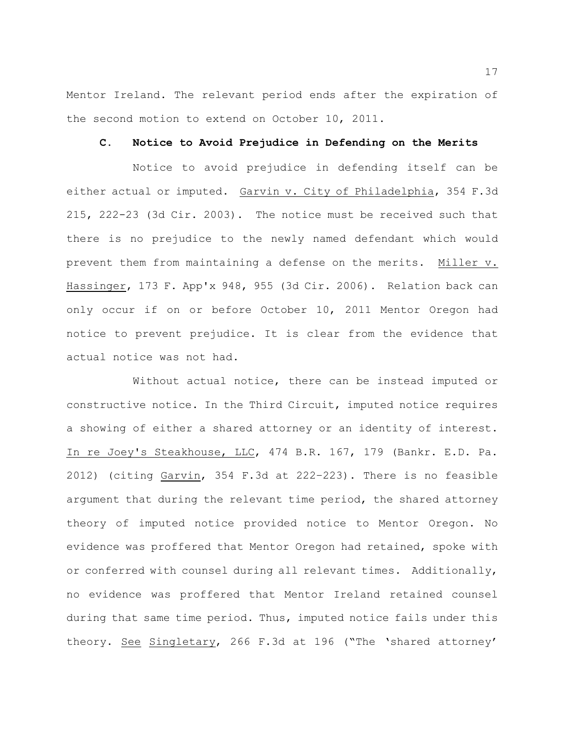Mentor Ireland. The relevant period ends after the expiration of the second motion to extend on October 10, 2011.

### **C. Notice to Avoid Prejudice in Defending on the Merits**

Notice to avoid prejudice in defending itself can be either actual or imputed. Garvin v. City of Philadelphia, 354 F.3d 215, 222-23 (3d Cir. 2003). The notice must be received such that there is no prejudice to the newly named defendant which would prevent them from maintaining a defense on the merits. Miller v. Hassinger, 173 F. App'x 948, 955 (3d Cir. 2006). Relation back can only occur if on or before October 10, 2011 Mentor Oregon had notice to prevent prejudice. It is clear from the evidence that actual notice was not had.

Without actual notice, there can be instead imputed or constructive notice. In the Third Circuit, imputed notice requires a showing of either a shared attorney or an identity of interest. In re Joey's Steakhouse, LLC, 474 B.R. 167, 179 (Bankr. E.D. Pa. 2012) (citing Garvin, 354 F.3d at 222–223). There is no feasible argument that during the relevant time period, the shared attorney theory of imputed notice provided notice to Mentor Oregon. No evidence was proffered that Mentor Oregon had retained, spoke with or conferred with counsel during all relevant times. Additionally, no evidence was proffered that Mentor Ireland retained counsel during that same time period. Thus, imputed notice fails under this theory. See Singletary, 266 F.3d at 196 ("The 'shared attorney'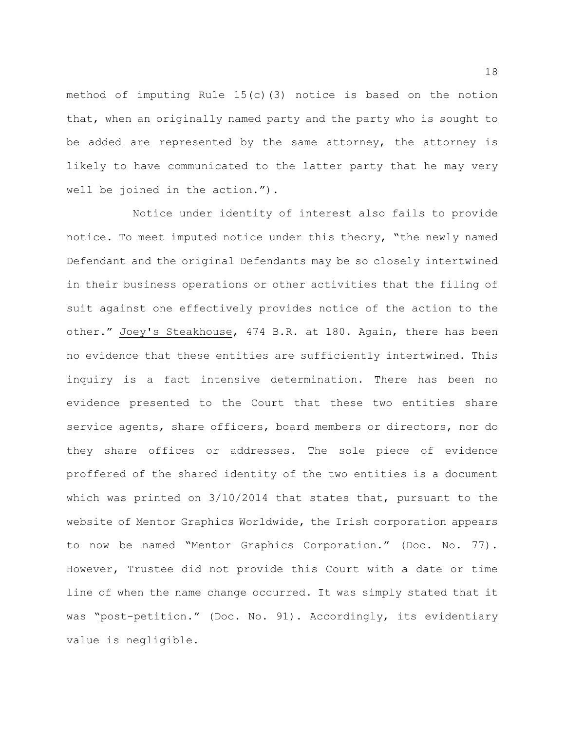method of imputing Rule  $15(c)(3)$  notice is based on the notion that, when an originally named party and the party who is sought to be added are represented by the same attorney, the attorney is likely to have communicated to the latter party that he may very well be joined in the action.").

Notice under identity of interest also fails to provide notice. To meet imputed notice under this theory, "the newly named Defendant and the original Defendants may be so closely intertwined in their business operations or other activities that the filing of suit against one effectively provides notice of the action to the other." Joey's Steakhouse, 474 B.R. at 180. Again, there has been no evidence that these entities are sufficiently intertwined. This inquiry is a fact intensive determination. There has been no evidence presented to the Court that these two entities share service agents, share officers, board members or directors, nor do they share offices or addresses. The sole piece of evidence proffered of the shared identity of the two entities is a document which was printed on 3/10/2014 that states that, pursuant to the website of Mentor Graphics Worldwide, the Irish corporation appears to now be named "Mentor Graphics Corporation." (Doc. No. 77). However, Trustee did not provide this Court with a date or time line of when the name change occurred. It was simply stated that it was "post-petition." (Doc. No. 91). Accordingly, its evidentiary value is negligible.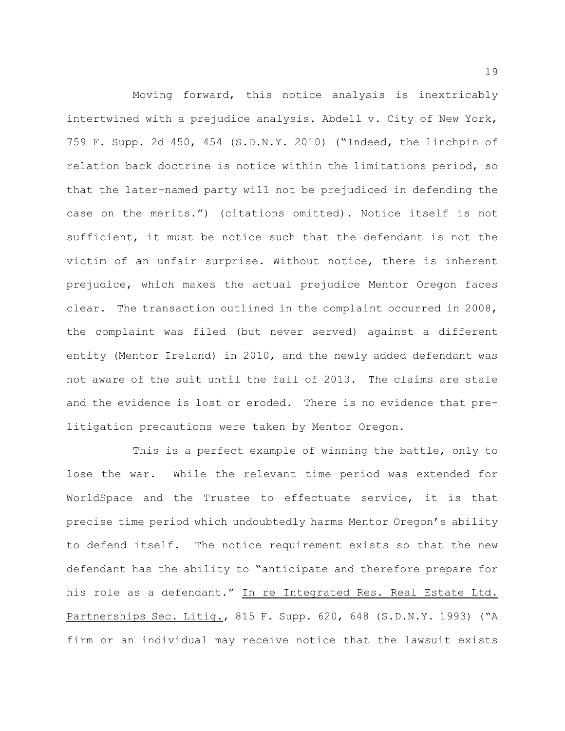Moving forward, this notice analysis is inextricably intertwined with a prejudice analysis. Abdell v. City of New York, 759 F. Supp. 2d 450, 454 (S.D.N.Y. 2010) ("Indeed, the linchpin of relation back doctrine is notice within the limitations period, so that the later-named party will not be prejudiced in defending the case on the merits.") (citations omitted). Notice itself is not sufficient, it must be notice such that the defendant is not the victim of an unfair surprise. Without notice, there is inherent prejudice, which makes the actual prejudice Mentor Oregon faces clear. The transaction outlined in the complaint occurred in 2008, the complaint was filed (but never served) against a different entity (Mentor Ireland) in 2010, and the newly added defendant was not aware of the suit until the fall of 2013. The claims are stale and the evidence is lost or eroded. There is no evidence that prelitigation precautions were taken by Mentor Oregon.

This is a perfect example of winning the battle, only to lose the war. While the relevant time period was extended for WorldSpace and the Trustee to effectuate service, it is that precise time period which undoubtedly harms Mentor Oregon's ability to defend itself. The notice requirement exists so that the new defendant has the ability to "anticipate and therefore prepare for his role as a defendant." In re Integrated Res. Real Estate Ltd. Partnerships Sec. Litig., 815 F. Supp. 620, 648 (S.D.N.Y. 1993) ("A firm or an individual may receive notice that the lawsuit exists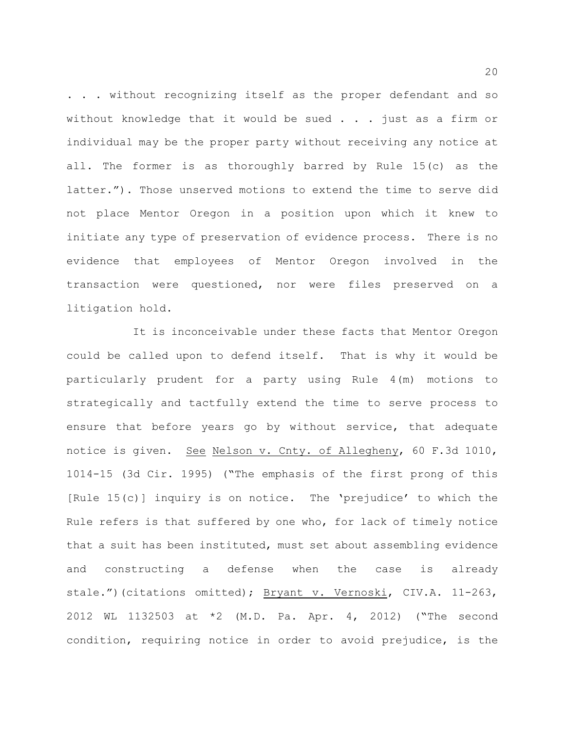. . . without recognizing itself as the proper defendant and so without knowledge that it would be sued  $\ldots$  ; just as a firm or individual may be the proper party without receiving any notice at all. The former is as thoroughly barred by Rule 15(c) as the latter."). Those unserved motions to extend the time to serve did not place Mentor Oregon in a position upon which it knew to initiate any type of preservation of evidence process. There is no evidence that employees of Mentor Oregon involved in the transaction were questioned, nor were files preserved on a litigation hold.

It is inconceivable under these facts that Mentor Oregon could be called upon to defend itself. That is why it would be particularly prudent for a party using Rule 4(m) motions to strategically and tactfully extend the time to serve process to ensure that before years go by without service, that adequate notice is given. See Nelson v. Cnty. of Allegheny, 60 F.3d 1010, 1014-15 (3d Cir. 1995) ("The emphasis of the first prong of this [Rule 15(c)] inquiry is on notice. The 'prejudice' to which the Rule refers is that suffered by one who, for lack of timely notice that a suit has been instituted, must set about assembling evidence and constructing a defense when the case is already stale.")(citations omitted); Bryant v. Vernoski, CIV.A. 11-263, 2012 WL 1132503 at \*2 (M.D. Pa. Apr. 4, 2012) ("The second condition, requiring notice in order to avoid prejudice, is the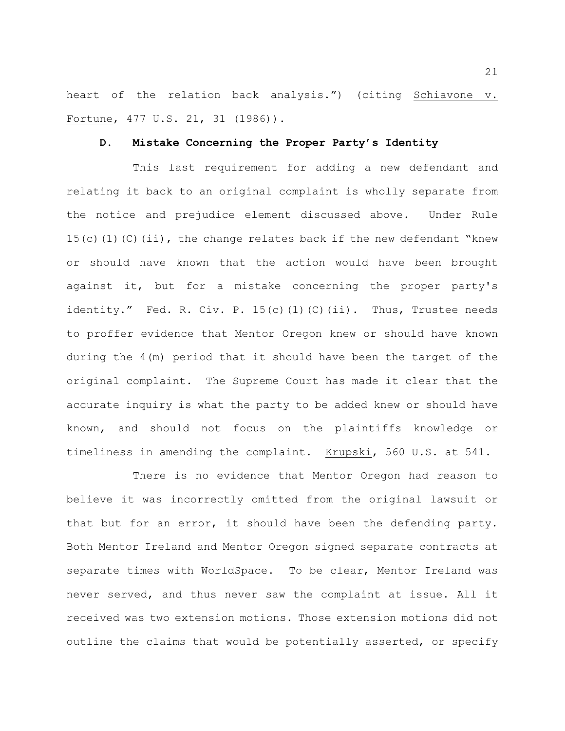heart of the relation back analysis.") (citing Schiavone v. Fortune, 477 U.S. 21, 31 (1986)).

#### **D. Mistake Concerning the Proper Party's Identity**

This last requirement for adding a new defendant and relating it back to an original complaint is wholly separate from the notice and prejudice element discussed above. Under Rule 15(c)(1)(C)(ii), the change relates back if the new defendant "knew or should have known that the action would have been brought against it, but for a mistake concerning the proper party's identity." Fed. R. Civ. P. 15(c)(1)(C)(ii). Thus, Trustee needs to proffer evidence that Mentor Oregon knew or should have known during the 4(m) period that it should have been the target of the original complaint. The Supreme Court has made it clear that the accurate inquiry is what the party to be added knew or should have known, and should not focus on the plaintiffs knowledge or timeliness in amending the complaint. Krupski, 560 U.S. at 541.

There is no evidence that Mentor Oregon had reason to believe it was incorrectly omitted from the original lawsuit or that but for an error, it should have been the defending party. Both Mentor Ireland and Mentor Oregon signed separate contracts at separate times with WorldSpace. To be clear, Mentor Ireland was never served, and thus never saw the complaint at issue. All it received was two extension motions. Those extension motions did not outline the claims that would be potentially asserted, or specify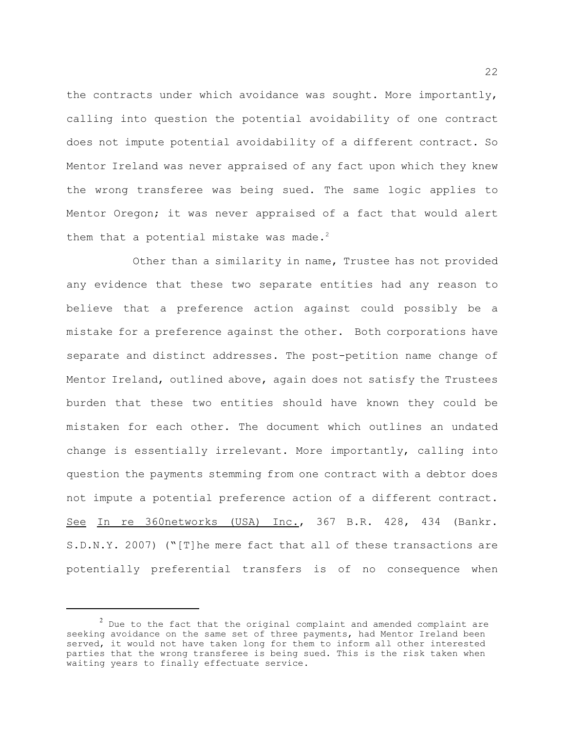the contracts under which avoidance was sought. More importantly, calling into question the potential avoidability of one contract does not impute potential avoidability of a different contract. So Mentor Ireland was never appraised of any fact upon which they knew the wrong transferee was being sued. The same logic applies to Mentor Oregon; it was never appraised of a fact that would alert them that a potential mistake was made.<sup>2</sup>

Other than a similarity in name, Trustee has not provided any evidence that these two separate entities had any reason to believe that a preference action against could possibly be a mistake for a preference against the other. Both corporations have separate and distinct addresses. The post-petition name change of Mentor Ireland, outlined above, again does not satisfy the Trustees burden that these two entities should have known they could be mistaken for each other. The document which outlines an undated change is essentially irrelevant. More importantly, calling into question the payments stemming from one contract with a debtor does not impute a potential preference action of a different contract. See In re 360networks (USA) Inc., 367 B.R. 428, 434 (Bankr. S.D.N.Y. 2007) ("[T]he mere fact that all of these transactions are potentially preferential transfers is of no consequence when

 $^2$  Due to the fact that the original complaint and amended complaint are seeking avoidance on the same set of three payments, had Mentor Ireland been served, it would not have taken long for them to inform all other interested parties that the wrong transferee is being sued. This is the risk taken when waiting years to finally effectuate service.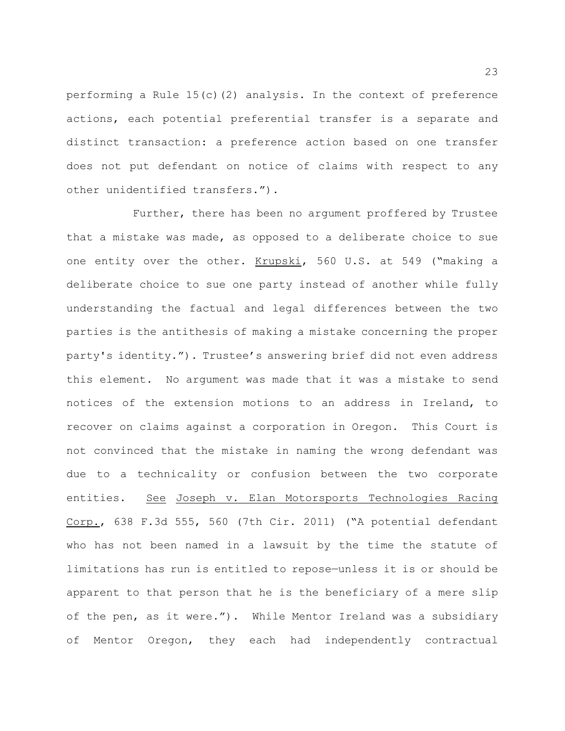performing a Rule  $15(c)(2)$  analysis. In the context of preference actions, each potential preferential transfer is a separate and distinct transaction: a preference action based on one transfer does not put defendant on notice of claims with respect to any other unidentified transfers.").

Further, there has been no argument proffered by Trustee that a mistake was made, as opposed to a deliberate choice to sue one entity over the other. Krupski, 560 U.S. at 549 ("making a deliberate choice to sue one party instead of another while fully understanding the factual and legal differences between the two parties is the antithesis of making a mistake concerning the proper party's identity."). Trustee's answering brief did not even address this element. No argument was made that it was a mistake to send notices of the extension motions to an address in Ireland, to recover on claims against a corporation in Oregon. This Court is not convinced that the mistake in naming the wrong defendant was due to a technicality or confusion between the two corporate entities. See Joseph v. Elan Motorsports Technologies Racing Corp., 638 F.3d 555, 560 (7th Cir. 2011) ("A potential defendant who has not been named in a lawsuit by the time the statute of limitations has run is entitled to repose—unless it is or should be apparent to that person that he is the beneficiary of a mere slip of the pen, as it were."). While Mentor Ireland was a subsidiary of Mentor Oregon, they each had independently contractual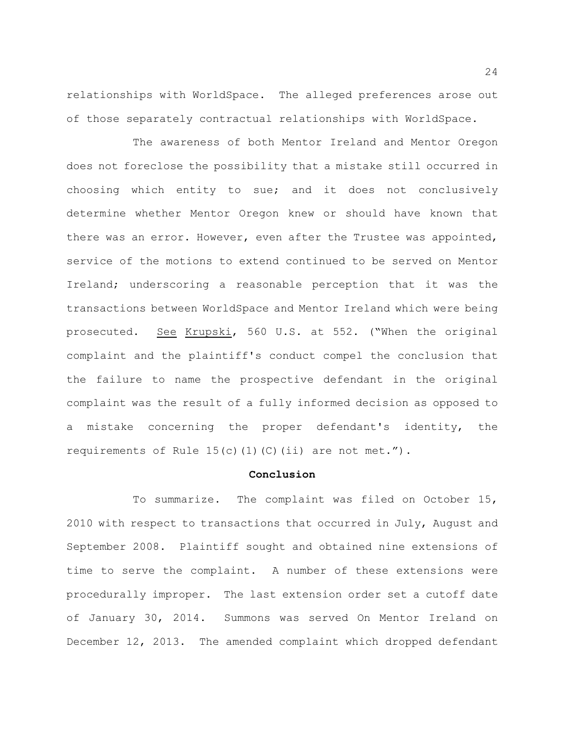relationships with WorldSpace. The alleged preferences arose out of those separately contractual relationships with WorldSpace.

The awareness of both Mentor Ireland and Mentor Oregon does not foreclose the possibility that a mistake still occurred in choosing which entity to sue; and it does not conclusively determine whether Mentor Oregon knew or should have known that there was an error. However, even after the Trustee was appointed, service of the motions to extend continued to be served on Mentor Ireland; underscoring a reasonable perception that it was the transactions between WorldSpace and Mentor Ireland which were being prosecuted. See Krupski, 560 U.S. at 552. ("When the original complaint and the plaintiff's conduct compel the conclusion that the failure to name the prospective defendant in the original complaint was the result of a fully informed decision as opposed to a mistake concerning the proper defendant's identity, the requirements of Rule  $15(c)$  (1)(C)(ii) are not met.").

### **Conclusion**

To summarize. The complaint was filed on October 15, 2010 with respect to transactions that occurred in July, August and September 2008. Plaintiff sought and obtained nine extensions of time to serve the complaint. A number of these extensions were procedurally improper. The last extension order set a cutoff date of January 30, 2014. Summons was served On Mentor Ireland on December 12, 2013. The amended complaint which dropped defendant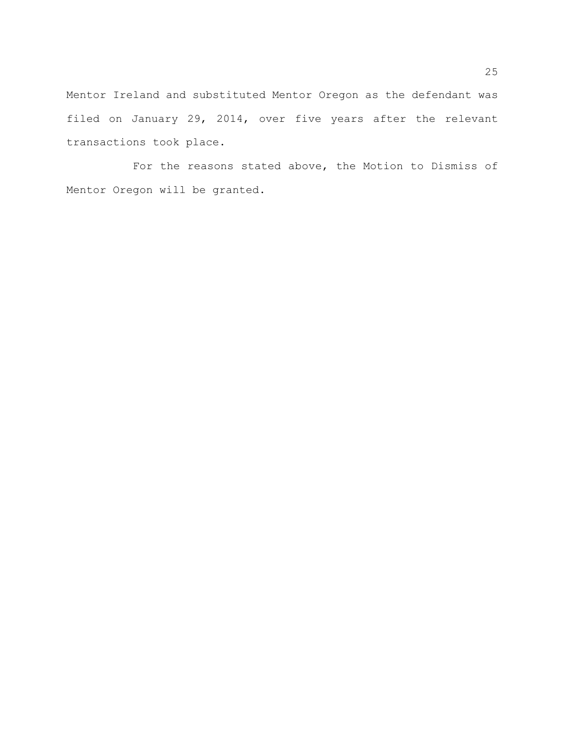Mentor Ireland and substituted Mentor Oregon as the defendant was filed on January 29, 2014, over five years after the relevant transactions took place.

For the reasons stated above, the Motion to Dismiss of Mentor Oregon will be granted.